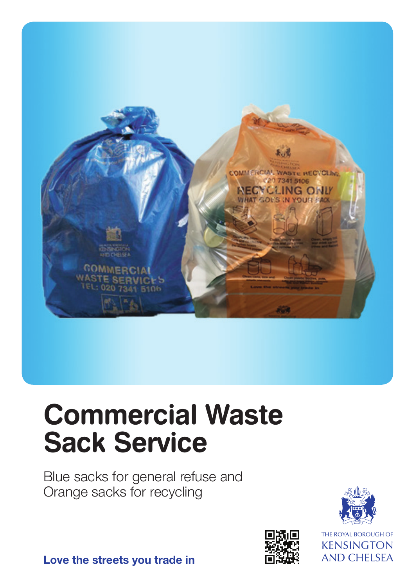

# **Commercial Waste Sack Service**

Blue sacks for general refuse and Orange sacks for recycling





THE ROYAL BOROUGH OF **KENSINGTON AND CHELSEA** 

**Love the streets you trade in**